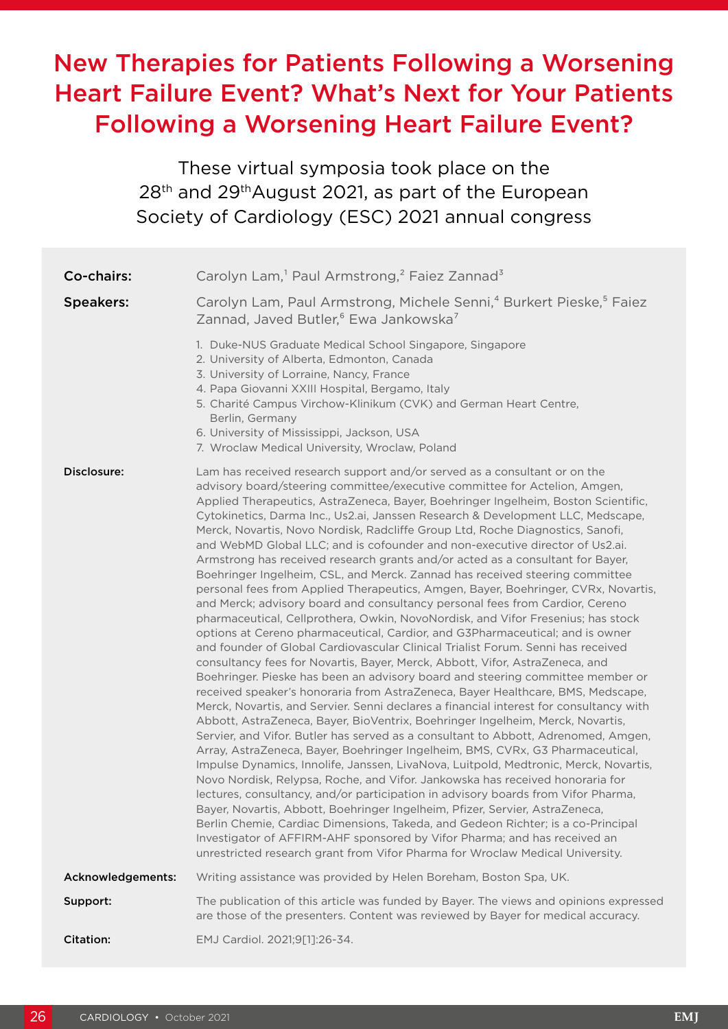# New Therapies for Patients Following a Worsening Heart Failure Event? What's Next for Your Patients Following a Worsening Heart Failure Event?

These virtual symposia took place on the 28<sup>th</sup> and 29<sup>th</sup>August 2021, as part of the European Society of Cardiology (ESC) 2021 annual congress

| Co-chairs:        | Carolyn Lam, <sup>1</sup> Paul Armstrong, <sup>2</sup> Faiez Zannad <sup>3</sup>                                                                                                                                                                                                                                                                                                                                                                                                                                                                                                                                                                                                                                                                                                                                                                                                                                                                                                                                                                                                                                                                                                                                                                                                                                                                                                                                                                                                                                                                                                                                                                                                                                                                                                                                                                                                                                                                                                                                                                                                                                                                                                                                                                                                                             |
|-------------------|--------------------------------------------------------------------------------------------------------------------------------------------------------------------------------------------------------------------------------------------------------------------------------------------------------------------------------------------------------------------------------------------------------------------------------------------------------------------------------------------------------------------------------------------------------------------------------------------------------------------------------------------------------------------------------------------------------------------------------------------------------------------------------------------------------------------------------------------------------------------------------------------------------------------------------------------------------------------------------------------------------------------------------------------------------------------------------------------------------------------------------------------------------------------------------------------------------------------------------------------------------------------------------------------------------------------------------------------------------------------------------------------------------------------------------------------------------------------------------------------------------------------------------------------------------------------------------------------------------------------------------------------------------------------------------------------------------------------------------------------------------------------------------------------------------------------------------------------------------------------------------------------------------------------------------------------------------------------------------------------------------------------------------------------------------------------------------------------------------------------------------------------------------------------------------------------------------------------------------------------------------------------------------------------------------------|
| <b>Speakers:</b>  | Carolyn Lam, Paul Armstrong, Michele Senni, <sup>4</sup> Burkert Pieske, <sup>5</sup> Faiez<br>Zannad, Javed Butler, <sup>6</sup> Ewa Jankowska <sup>7</sup>                                                                                                                                                                                                                                                                                                                                                                                                                                                                                                                                                                                                                                                                                                                                                                                                                                                                                                                                                                                                                                                                                                                                                                                                                                                                                                                                                                                                                                                                                                                                                                                                                                                                                                                                                                                                                                                                                                                                                                                                                                                                                                                                                 |
|                   | 1. Duke-NUS Graduate Medical School Singapore, Singapore<br>2. University of Alberta, Edmonton, Canada<br>3. University of Lorraine, Nancy, France<br>4. Papa Giovanni XXIII Hospital, Bergamo, Italy<br>5. Charité Campus Virchow-Klinikum (CVK) and German Heart Centre,<br>Berlin, Germany<br>6. University of Mississippi, Jackson, USA<br>7. Wroclaw Medical University, Wroclaw, Poland                                                                                                                                                                                                                                                                                                                                                                                                                                                                                                                                                                                                                                                                                                                                                                                                                                                                                                                                                                                                                                                                                                                                                                                                                                                                                                                                                                                                                                                                                                                                                                                                                                                                                                                                                                                                                                                                                                                |
| Disclosure:       | Lam has received research support and/or served as a consultant or on the<br>advisory board/steering committee/executive committee for Actelion, Amgen,<br>Applied Therapeutics, AstraZeneca, Bayer, Boehringer Ingelheim, Boston Scientific,<br>Cytokinetics, Darma Inc., Us2.ai, Janssen Research & Development LLC, Medscape,<br>Merck, Novartis, Novo Nordisk, Radcliffe Group Ltd, Roche Diagnostics, Sanofi,<br>and WebMD Global LLC; and is cofounder and non-executive director of Us2.ai.<br>Armstrong has received research grants and/or acted as a consultant for Bayer,<br>Boehringer Ingelheim, CSL, and Merck. Zannad has received steering committee<br>personal fees from Applied Therapeutics, Amgen, Bayer, Boehringer, CVRx, Novartis,<br>and Merck; advisory board and consultancy personal fees from Cardior, Cereno<br>pharmaceutical, Cellprothera, Owkin, NovoNordisk, and Vifor Fresenius; has stock<br>options at Cereno pharmaceutical, Cardior, and G3Pharmaceutical; and is owner<br>and founder of Global Cardiovascular Clinical Trialist Forum. Senni has received<br>consultancy fees for Novartis, Bayer, Merck, Abbott, Vifor, AstraZeneca, and<br>Boehringer. Pieske has been an advisory board and steering committee member or<br>received speaker's honoraria from AstraZeneca, Bayer Healthcare, BMS, Medscape,<br>Merck, Novartis, and Servier. Senni declares a financial interest for consultancy with<br>Abbott, AstraZeneca, Bayer, BioVentrix, Boehringer Ingelheim, Merck, Novartis,<br>Servier, and Vifor. Butler has served as a consultant to Abbott, Adrenomed, Amgen,<br>Array, AstraZeneca, Bayer, Boehringer Ingelheim, BMS, CVRx, G3 Pharmaceutical,<br>Impulse Dynamics, Innolife, Janssen, LivaNova, Luitpold, Medtronic, Merck, Novartis,<br>Novo Nordisk, Relypsa, Roche, and Vifor. Jankowska has received honoraria for<br>lectures, consultancy, and/or participation in advisory boards from Vifor Pharma,<br>Bayer, Novartis, Abbott, Boehringer Ingelheim, Pfizer, Servier, AstraZeneca,<br>Berlin Chemie, Cardiac Dimensions, Takeda, and Gedeon Richter; is a co-Principal<br>Investigator of AFFIRM-AHF sponsored by Vifor Pharma; and has received an<br>unrestricted research grant from Vifor Pharma for Wroclaw Medical University. |
| Acknowledgements: | Writing assistance was provided by Helen Boreham, Boston Spa, UK.                                                                                                                                                                                                                                                                                                                                                                                                                                                                                                                                                                                                                                                                                                                                                                                                                                                                                                                                                                                                                                                                                                                                                                                                                                                                                                                                                                                                                                                                                                                                                                                                                                                                                                                                                                                                                                                                                                                                                                                                                                                                                                                                                                                                                                            |
| Support:          | The publication of this article was funded by Bayer. The views and opinions expressed<br>are those of the presenters. Content was reviewed by Bayer for medical accuracy.                                                                                                                                                                                                                                                                                                                                                                                                                                                                                                                                                                                                                                                                                                                                                                                                                                                                                                                                                                                                                                                                                                                                                                                                                                                                                                                                                                                                                                                                                                                                                                                                                                                                                                                                                                                                                                                                                                                                                                                                                                                                                                                                    |
| Citation:         | EMJ Cardiol. 2021;9[1]:26-34.                                                                                                                                                                                                                                                                                                                                                                                                                                                                                                                                                                                                                                                                                                                                                                                                                                                                                                                                                                                                                                                                                                                                                                                                                                                                                                                                                                                                                                                                                                                                                                                                                                                                                                                                                                                                                                                                                                                                                                                                                                                                                                                                                                                                                                                                                |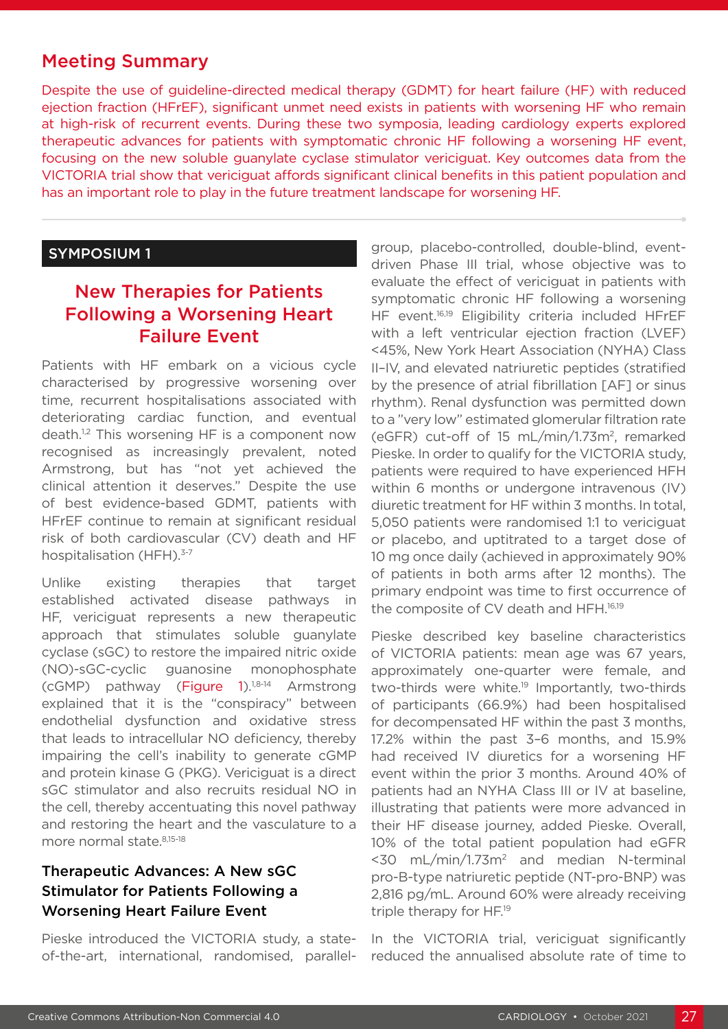# Meeting Summary

Despite the use of guideline-directed medical therapy (GDMT) for heart failure (HF) with reduced ejection fraction (HFrEF), significant unmet need exists in patients with worsening HF who remain at high-risk of recurrent events. During these two symposia, leading cardiology experts explored therapeutic advances for patients with symptomatic chronic HF following a worsening HF event, focusing on the new soluble guanylate cyclase stimulator vericiguat. Key outcomes data from the VICTORIA trial show that vericiguat affords significant clinical benefits in this patient population and has an important role to play in the future treatment landscape for worsening HF.

## SYMPOSIUM 1

# New Therapies for Patients Following a Worsening Heart Failure Event

Patients with HF embark on a vicious cycle characterised by progressive worsening over time, recurrent hospitalisations associated with deteriorating cardiac function, and eventual death.<sup>1,2</sup> This worsening HF is a component now recognised as increasingly prevalent, noted Armstrong, but has "not yet achieved the clinical attention it deserves." Despite the use of best evidence-based GDMT, patients with HFrEF continue to remain at significant residual risk of both cardiovascular (CV) death and HF hospitalisation (HFH).<sup>3-7</sup>

Unlike existing therapies that target established activated disease pathways in HF, vericiguat represents a new therapeutic approach that stimulates soluble guanylate cyclase (sGC) to restore the impaired nitric oxide (NO)-sGC-cyclic guanosine monophosphate  $(cGMP)$  pathway (Figure 1).<sup>1,8-14</sup> Armstrong explained that it is the "conspiracy" between endothelial dysfunction and oxidative stress that leads to intracellular NO deficiency, thereby impairing the cell's inability to generate cGMP and protein kinase G (PKG). Vericiguat is a direct sGC stimulator and also recruits residual NO in the cell, thereby accentuating this novel pathway and restoring the heart and the vasculature to a more normal state. 8,15-18

# Therapeutic Advances: A New sGC Stimulator for Patients Following a Worsening Heart Failure Event

Pieske introduced the VICTORIA study, a stateof-the-art, international, randomised, parallelgroup, placebo-controlled, double-blind, eventdriven Phase III trial, whose objective was to evaluate the effect of vericiguat in patients with symptomatic chronic HF following a worsening HF event.16,19 Eligibility criteria included HFrEF with a left ventricular ejection fraction (LVEF) <45%, New York Heart Association (NYHA) Class II–IV, and elevated natriuretic peptides (stratified by the presence of atrial fibrillation [AF] or sinus rhythm). Renal dysfunction was permitted down to a "very low" estimated glomerular filtration rate (eGFR) cut-off of 15 mL/min/1.73m2, remarked Pieske. In order to qualify for the VICTORIA study, patients were required to have experienced HFH within 6 months or undergone intravenous (IV) diuretic treatment for HF within 3 months. In total, 5,050 patients were randomised 1:1 to vericiguat or placebo, and uptitrated to a target dose of 10 mg once daily (achieved in approximately 90% of patients in both arms after 12 months). The primary endpoint was time to first occurrence of the composite of CV death and HFH.<sup>16,19</sup>

Pieske described key baseline characteristics of VICTORIA patients: mean age was 67 years, approximately one-quarter were female, and two-thirds were white.<sup>19</sup> Importantly, two-thirds of participants (66.9%) had been hospitalised for decompensated HF within the past 3 months, 17.2% within the past 3–6 months, and 15.9% had received IV diuretics for a worsening HF event within the prior 3 months. Around 40% of patients had an NYHA Class III or IV at baseline, illustrating that patients were more advanced in their HF disease journey, added Pieske. Overall, 10% of the total patient population had eGFR  $<$ 30 mL/min/1.73m<sup>2</sup> and median N-terminal pro-B-type natriuretic peptide (NT-pro-BNP) was 2,816 pg/mL. Around 60% were already receiving triple therapy for HF.19

In the VICTORIA trial, vericiguat significantly reduced the annualised absolute rate of time to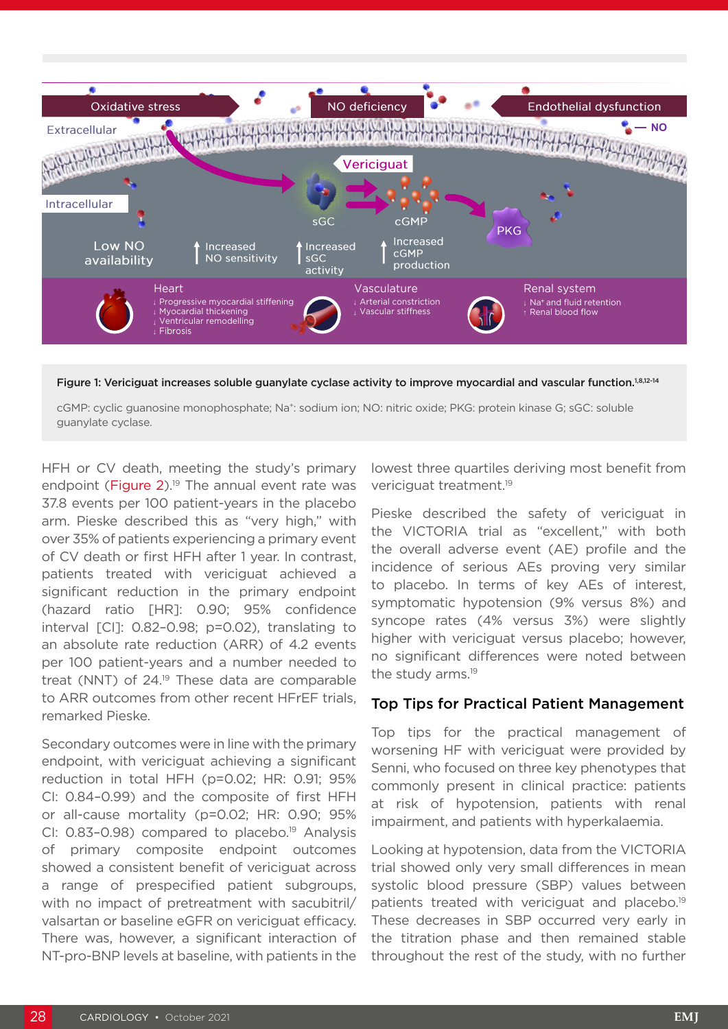

Figure 1: Vericiguat increases soluble guanylate cyclase activity to improve myocardial and vascular function.<sup>1,8,12-14</sup>

cGMP: cyclic guanosine monophosphate; Na+: sodium ion; NO: nitric oxide; PKG: protein kinase G; sGC: soluble guanylate cyclase.

HFH or CV death, meeting the study's primary endpoint (Figure 2).<sup>19</sup> The annual event rate was 37.8 events per 100 patient-years in the placebo arm. Pieske described this as "very high," with over 35% of patients experiencing a primary event of CV death or first HFH after 1 year. In contrast, patients treated with vericiguat achieved a significant reduction in the primary endpoint (hazard ratio [HR]: 0.90; 95% confidence interval [CI]: 0.82–0.98; p=0.02), translating to an absolute rate reduction (ARR) of 4.2 events per 100 patient-years and a number needed to treat (NNT) of 24.<sup>19</sup> These data are comparable to ARR outcomes from other recent HFrEF trials, remarked Pieske.

Secondary outcomes were in line with the primary endpoint, with vericiguat achieving a significant reduction in total HFH (p=0.02; HR: 0.91; 95% CI: 0.84–0.99) and the composite of first HFH or all-cause mortality (p=0.02; HR: 0.90; 95% CI: 0.83-0.98) compared to placebo.<sup>19</sup> Analysis of primary composite endpoint outcomes showed a consistent benefit of vericiguat across a range of prespecified patient subgroups, with no impact of pretreatment with sacubitril/ valsartan or baseline eGFR on vericiguat efficacy. There was, however, a significant interaction of NT-pro-BNP levels at baseline, with patients in the

lowest three quartiles deriving most benefit from vericiquat treatment.<sup>19</sup>

Pieske described the safety of vericiguat in the VICTORIA trial as "excellent," with both the overall adverse event (AE) profile and the incidence of serious AEs proving very similar to placebo. In terms of key AEs of interest, symptomatic hypotension (9% versus 8%) and syncope rates (4% versus 3%) were slightly higher with vericiguat versus placebo; however, no significant differences were noted between the study arms.<sup>19</sup>

## Top Tips for Practical Patient Management

Top tips for the practical management of worsening HF with vericiguat were provided by Senni, who focused on three key phenotypes that commonly present in clinical practice: patients at risk of hypotension, patients with renal impairment, and patients with hyperkalaemia.

Looking at hypotension, data from the VICTORIA trial showed only very small differences in mean systolic blood pressure (SBP) values between patients treated with vericiguat and placebo.<sup>19</sup> These decreases in SBP occurred very early in the titration phase and then remained stable throughout the rest of the study, with no further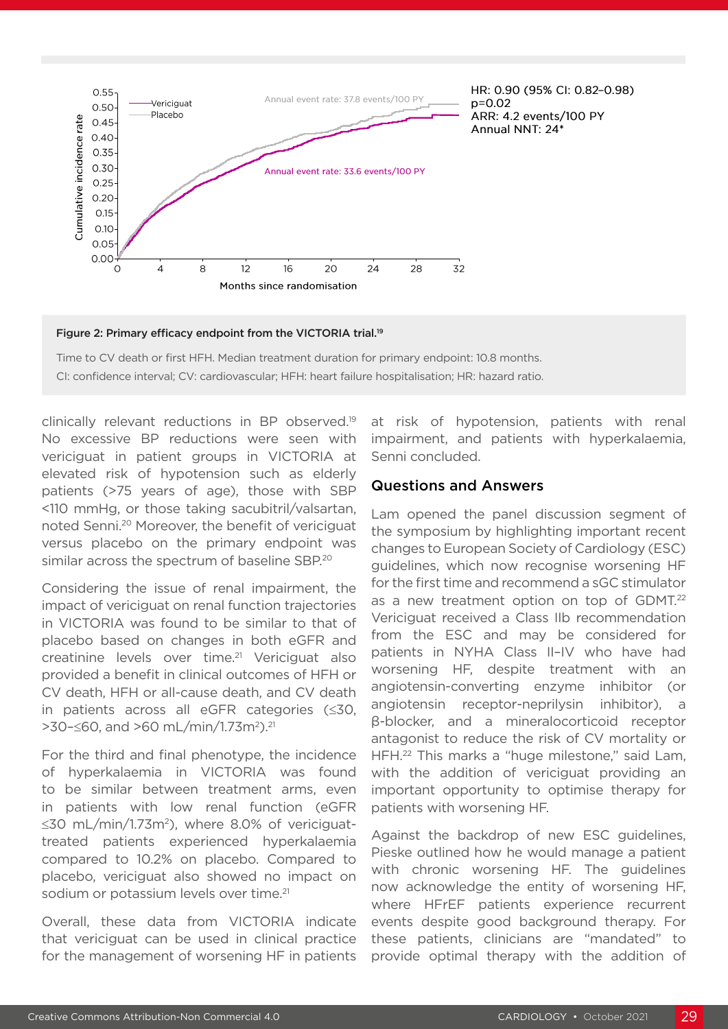

Figure 2: Primary efficacy endpoint from the VICTORIA trial.<sup>19</sup>

Time to CV death or first HFH. Median treatment duration for primary endpoint: 10.8 months. CI: confidence interval; CV: cardiovascular; HFH: heart failure hospitalisation; HR: hazard ratio.

clinically relevant reductions in BP observed.19 No excessive BP reductions were seen with vericiguat in patient groups in VICTORIA at elevated risk of hypotension such as elderly patients (>75 years of age), those with SBP <110 mmHg, or those taking sacubitril/valsartan, noted Senni.20 Moreover, the benefit of vericiguat versus placebo on the primary endpoint was similar across the spectrum of baseline SBP.<sup>20</sup>

Considering the issue of renal impairment, the impact of vericiguat on renal function trajectories in VICTORIA was found to be similar to that of placebo based on changes in both eGFR and creatinine levels over time.<sup>21</sup> Vericiquat also provided a benefit in clinical outcomes of HFH or CV death, HFH or all-cause death, and CV death in patients across all eGFR categories (≤30, >30–≤60, and >60 mL/min/1.73m2).21

For the third and final phenotype, the incidence of hyperkalaemia in VICTORIA was found to be similar between treatment arms, even in patients with low renal function (eGFR ≤30 mL/min/1.73m2), where 8.0% of vericiguattreated patients experienced hyperkalaemia compared to 10.2% on placebo. Compared to placebo, vericiguat also showed no impact on sodium or potassium levels over time.<sup>21</sup>

Overall, these data from VICTORIA indicate that vericiguat can be used in clinical practice for the management of worsening HF in patients

at risk of hypotension, patients with renal impairment, and patients with hyperkalaemia, Senni concluded.

#### Questions and Answers

Lam opened the panel discussion segment of the symposium by highlighting important recent changes to European Society of Cardiology (ESC) guidelines, which now recognise worsening HF for the first time and recommend a sGC stimulator as a new treatment option on top of GDMT.<sup>22</sup> Vericiguat received a Class IIb recommendation from the ESC and may be considered for patients in NYHA Class II–IV who have had worsening HF, despite treatment with an angiotensin-converting enzyme inhibitor (or angiotensin receptor-neprilysin inhibitor), a β-blocker, and a mineralocorticoid receptor antagonist to reduce the risk of CV mortality or HFH.22 This marks a "huge milestone," said Lam, with the addition of vericiguat providing an important opportunity to optimise therapy for patients with worsening HF.

Against the backdrop of new ESC guidelines, Pieske outlined how he would manage a patient with chronic worsening HF. The guidelines now acknowledge the entity of worsening HF, where HFrEF patients experience recurrent events despite good background therapy. For these patients, clinicians are "mandated" to provide optimal therapy with the addition of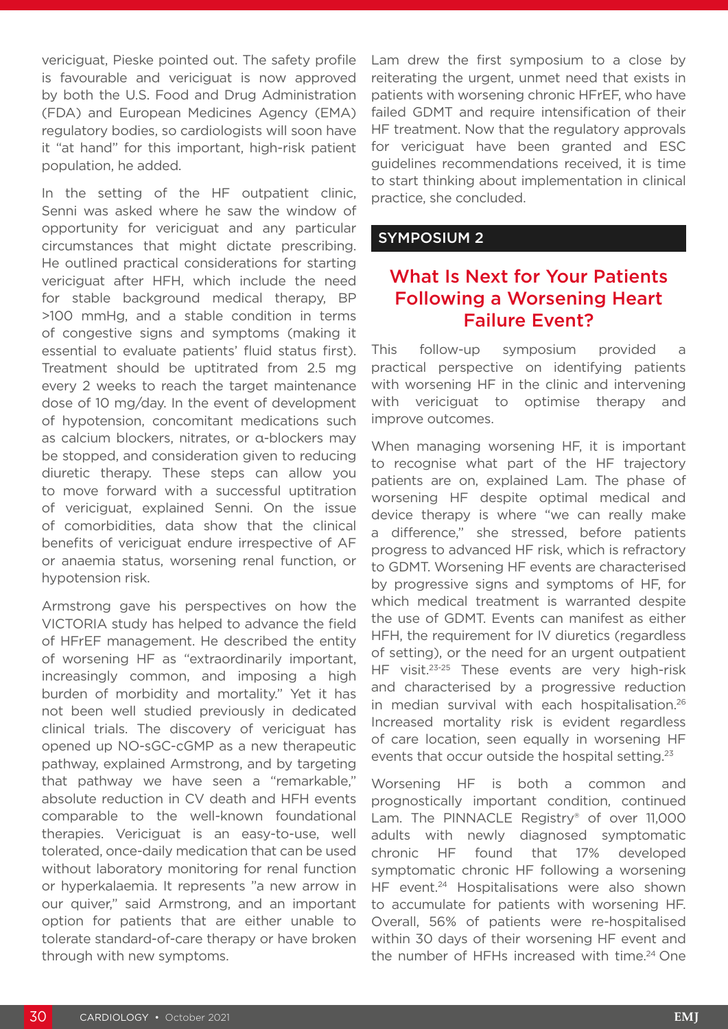vericiguat, Pieske pointed out. The safety profile is favourable and vericiguat is now approved by both the U.S. Food and Drug Administration (FDA) and European Medicines Agency (EMA) regulatory bodies, so cardiologists will soon have it "at hand" for this important, high-risk patient population, he added.

In the setting of the HF outpatient clinic, Senni was asked where he saw the window of opportunity for vericiguat and any particular circumstances that might dictate prescribing. He outlined practical considerations for starting vericiguat after HFH, which include the need for stable background medical therapy, BP >100 mmHg, and a stable condition in terms of congestive signs and symptoms (making it essential to evaluate patients' fluid status first). Treatment should be uptitrated from 2.5 mg every 2 weeks to reach the target maintenance dose of 10 mg/day. In the event of development of hypotension, concomitant medications such as calcium blockers, nitrates, or α-blockers may be stopped, and consideration given to reducing diuretic therapy. These steps can allow you to move forward with a successful uptitration of vericiguat, explained Senni. On the issue of comorbidities, data show that the clinical benefits of vericiguat endure irrespective of AF or anaemia status, worsening renal function, or hypotension risk.

Armstrong gave his perspectives on how the VICTORIA study has helped to advance the field of HFrEF management. He described the entity of worsening HF as "extraordinarily important, increasingly common, and imposing a high burden of morbidity and mortality." Yet it has not been well studied previously in dedicated clinical trials. The discovery of vericiguat has opened up NO-sGC-cGMP as a new therapeutic pathway, explained Armstrong, and by targeting that pathway we have seen a "remarkable," absolute reduction in CV death and HFH events comparable to the well-known foundational therapies. Vericiguat is an easy-to-use, well tolerated, once-daily medication that can be used without laboratory monitoring for renal function or hyperkalaemia. It represents "a new arrow in our quiver," said Armstrong, and an important option for patients that are either unable to tolerate standard-of-care therapy or have broken through with new symptoms.

Lam drew the first symposium to a close by reiterating the urgent, unmet need that exists in patients with worsening chronic HFrEF, who have failed GDMT and require intensification of their HF treatment. Now that the regulatory approvals for vericiguat have been granted and ESC guidelines recommendations received, it is time to start thinking about implementation in clinical practice, she concluded.

## SYMPOSIUM 2

# What Is Next for Your Patients Following a Worsening Heart Failure Event?

This follow-up symposium provided a practical perspective on identifying patients with worsening HF in the clinic and intervening with vericiguat to optimise therapy and improve outcomes.

When managing worsening HF, it is important to recognise what part of the HF trajectory patients are on, explained Lam. The phase of worsening HF despite optimal medical and device therapy is where "we can really make a difference," she stressed, before patients progress to advanced HF risk, which is refractory to GDMT. Worsening HF events are characterised by progressive signs and symptoms of HF, for which medical treatment is warranted despite the use of GDMT. Events can manifest as either HFH, the requirement for IV diuretics (regardless of setting), or the need for an urgent outpatient HF visit.<sup>23-25</sup> These events are very high-risk and characterised by a progressive reduction in median survival with each hospitalisation.<sup>26</sup> Increased mortality risk is evident regardless of care location, seen equally in worsening HF events that occur outside the hospital setting.<sup>23</sup>

Worsening HF is both a common and prognostically important condition, continued Lam. The PINNACLE Registry® of over 11,000 adults with newly diagnosed symptomatic chronic HF found that 17% developed symptomatic chronic HF following a worsening HF event.<sup>24</sup> Hospitalisations were also shown to accumulate for patients with worsening HF. Overall, 56% of patients were re-hospitalised within 30 days of their worsening HF event and the number of HFHs increased with time.<sup>24</sup> One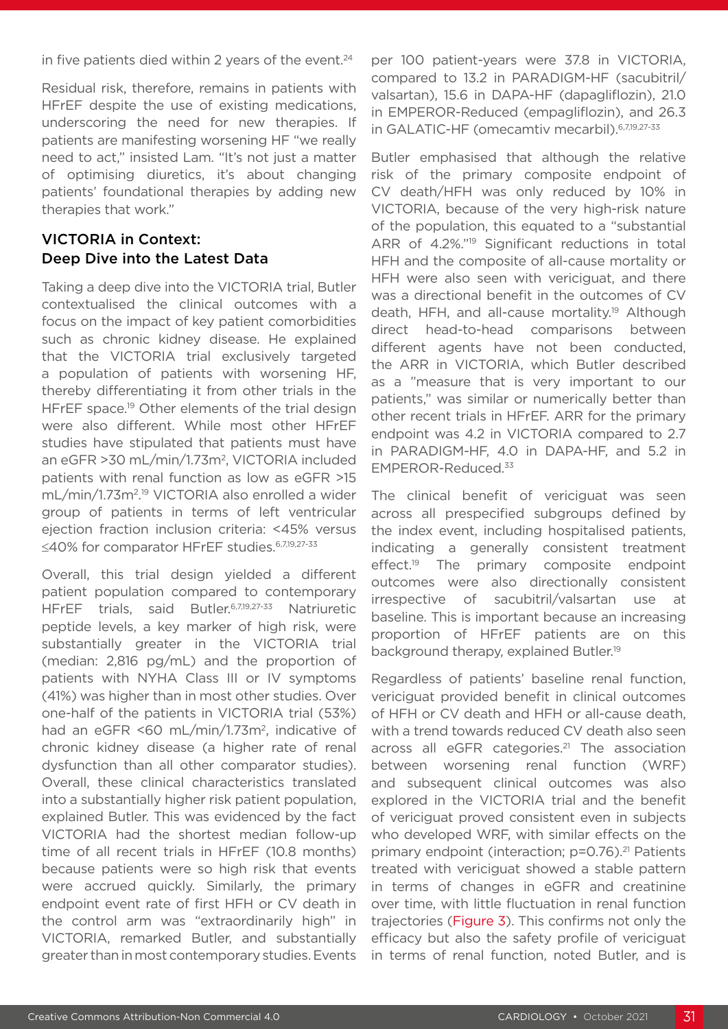in five patients died within 2 years of the event. $24$ 

Residual risk, therefore, remains in patients with HFrEF despite the use of existing medications, underscoring the need for new therapies. If patients are manifesting worsening HF "we really need to act," insisted Lam. "It's not just a matter of optimising diuretics, it's about changing patients' foundational therapies by adding new therapies that work."

# VICTORIA in Context: Deep Dive into the Latest Data

Taking a deep dive into the VICTORIA trial, Butler contextualised the clinical outcomes with a focus on the impact of key patient comorbidities such as chronic kidney disease. He explained that the VICTORIA trial exclusively targeted a population of patients with worsening HF, thereby differentiating it from other trials in the HFrEF space.<sup>19</sup> Other elements of the trial design were also different. While most other HFrEF studies have stipulated that patients must have an eGFR >30 mL/min/1.73m2, VICTORIA included patients with renal function as low as eGFR >15 mL/min/1.73m2. 19 VICTORIA also enrolled a wider group of patients in terms of left ventricular ejection fraction inclusion criteria: <45% versus ≤40% for comparator HFrEF studies.<sup>6,7,19,27-33</sup>

Overall, this trial design yielded a different patient population compared to contemporary HFrEF trials, said Butler.6,7,19,27-33 Natriuretic peptide levels, a key marker of high risk, were substantially greater in the VICTORIA trial (median: 2,816 pg/mL) and the proportion of patients with NYHA Class III or IV symptoms (41%) was higher than in most other studies. Over one-half of the patients in VICTORIA trial (53%) had an eGFR <60 mL/min/1.73m<sup>2</sup>, indicative of chronic kidney disease (a higher rate of renal dysfunction than all other comparator studies). Overall, these clinical characteristics translated into a substantially higher risk patient population, explained Butler. This was evidenced by the fact VICTORIA had the shortest median follow-up time of all recent trials in HFrEF (10.8 months) because patients were so high risk that events were accrued quickly. Similarly, the primary endpoint event rate of first HFH or CV death in the control arm was "extraordinarily high" in VICTORIA, remarked Butler, and substantially greater than in most contemporary studies. Events

per 100 patient-years were 37.8 in VICTORIA, compared to 13.2 in PARADIGM-HF (sacubitril/ valsartan), 15.6 in DAPA-HF (dapagliflozin), 21.0 in EMPEROR-Reduced (empagliflozin), and 26.3 in GALATIC-HF (omecamtiv mecarbil). 6,7,19,27-33

Butler emphasised that although the relative risk of the primary composite endpoint of CV death/HFH was only reduced by 10% in VICTORIA, because of the very high-risk nature of the population, this equated to a "substantial ARR of 4.2%."19 Significant reductions in total HFH and the composite of all-cause mortality or HFH were also seen with vericiguat, and there was a directional benefit in the outcomes of CV death, HFH, and all-cause mortality.<sup>19</sup> Although direct head-to-head comparisons between different agents have not been conducted, the ARR in VICTORIA, which Butler described as a "measure that is very important to our patients," was similar or numerically better than other recent trials in HFrEF. ARR for the primary endpoint was 4.2 in VICTORIA compared to 2.7 in PARADIGM-HF, 4.0 in DAPA-HF, and 5.2 in EMPEROR-Reduced.33

The clinical benefit of vericiguat was seen across all prespecified subgroups defined by the index event, including hospitalised patients, indicating a generally consistent treatment effect.<sup>19</sup> The primary composite endpoint outcomes were also directionally consistent irrespective of sacubitril/valsartan use at baseline. This is important because an increasing proportion of HFrEF patients are on this background therapy, explained Butler.19

Regardless of patients' baseline renal function, vericiguat provided benefit in clinical outcomes of HFH or CV death and HFH or all-cause death, with a trend towards reduced CV death also seen across all eGFR categories.<sup>21</sup> The association between worsening renal function (WRF) and subsequent clinical outcomes was also explored in the VICTORIA trial and the benefit of vericiguat proved consistent even in subjects who developed WRF, with similar effects on the primary endpoint (interaction; p=0.76).<sup>21</sup> Patients treated with vericiguat showed a stable pattern in terms of changes in eGFR and creatinine over time, with little fluctuation in renal function trajectories (Figure 3). This confirms not only the efficacy but also the safety profile of vericiguat in terms of renal function, noted Butler, and is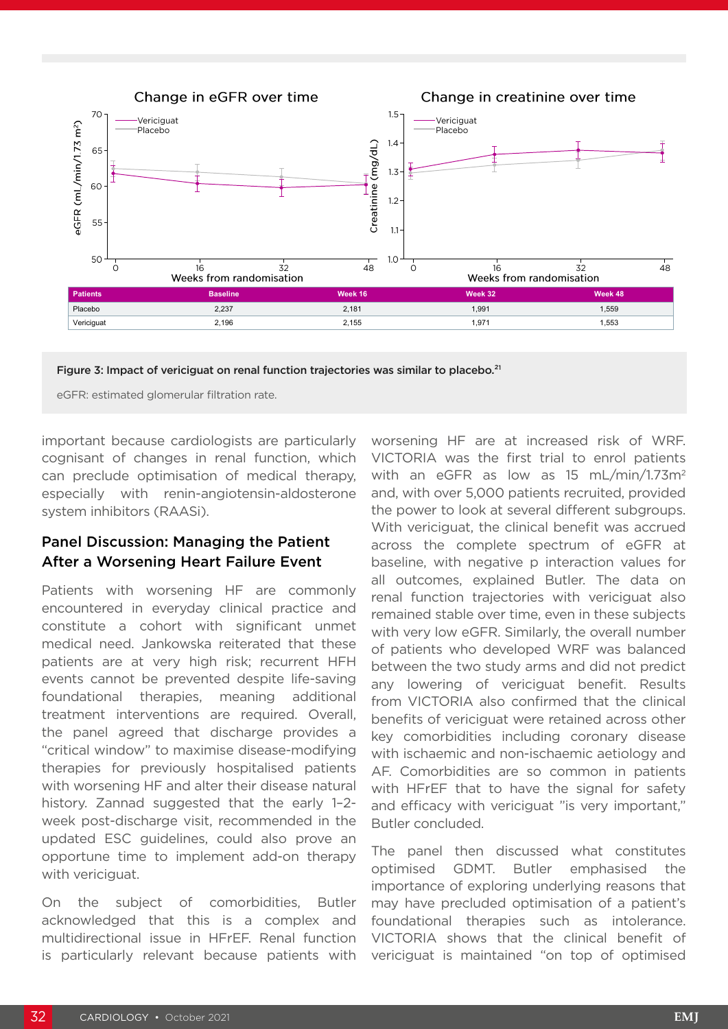

Figure 3: Impact of vericiguat on renal function trajectories was similar to placebo.<sup>21</sup>

eGFR: estimated glomerular filtration rate.

important because cardiologists are particularly cognisant of changes in renal function, which can preclude optimisation of medical therapy, especially with renin-angiotensin-aldosterone system inhibitors (RAASi).

## Panel Discussion: Managing the Patient After a Worsening Heart Failure Event

Patients with worsening HF are commonly encountered in everyday clinical practice and constitute a cohort with significant unmet medical need. Jankowska reiterated that these patients are at very high risk; recurrent HFH events cannot be prevented despite life-saving foundational therapies, meaning additional treatment interventions are required. Overall, the panel agreed that discharge provides a "critical window" to maximise disease-modifying therapies for previously hospitalised patients with worsening HF and alter their disease natural history. Zannad suggested that the early 1–2 week post-discharge visit, recommended in the updated ESC guidelines, could also prove an opportune time to implement add-on therapy with vericiguat.

On the subject of comorbidities, Butler acknowledged that this is a complex and multidirectional issue in HFrEF. Renal function is particularly relevant because patients with

worsening HF are at increased risk of WRF. VICTORIA was the first trial to enrol patients with an eGFR as low as 15 mL/min/1.73m<sup>2</sup> and, with over 5,000 patients recruited, provided the power to look at several different subgroups. With vericiguat, the clinical benefit was accrued across the complete spectrum of eGFR at baseline, with negative p interaction values for all outcomes, explained Butler. The data on renal function trajectories with vericiguat also remained stable over time, even in these subjects with very low eGFR. Similarly, the overall number of patients who developed WRF was balanced between the two study arms and did not predict any lowering of vericiguat benefit. Results from VICTORIA also confirmed that the clinical benefits of vericiguat were retained across other key comorbidities including coronary disease with ischaemic and non-ischaemic aetiology and AF. Comorbidities are so common in patients with HFrEF that to have the signal for safety and efficacy with vericiguat "is very important," Butler concluded.

The panel then discussed what constitutes optimised GDMT. Butler emphasised the importance of exploring underlying reasons that may have precluded optimisation of a patient's foundational therapies such as intolerance. VICTORIA shows that the clinical benefit of vericiguat is maintained "on top of optimised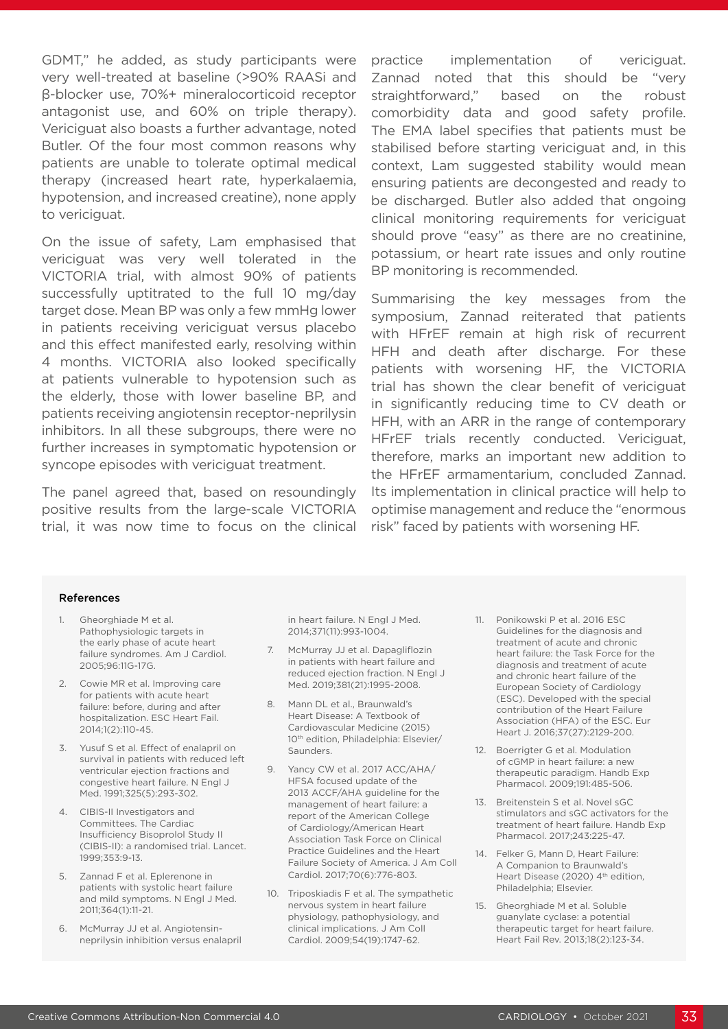GDMT," he added, as study participants were very well-treated at baseline (>90% RAASi and β-blocker use, 70%+ mineralocorticoid receptor antagonist use, and 60% on triple therapy). Vericiguat also boasts a further advantage, noted Butler. Of the four most common reasons why patients are unable to tolerate optimal medical therapy (increased heart rate, hyperkalaemia, hypotension, and increased creatine), none apply to vericiguat.

On the issue of safety, Lam emphasised that vericiguat was very well tolerated in the VICTORIA trial, with almost 90% of patients successfully uptitrated to the full 10 mg/day target dose. Mean BP was only a few mmHg lower in patients receiving vericiguat versus placebo and this effect manifested early, resolving within 4 months. VICTORIA also looked specifically at patients vulnerable to hypotension such as the elderly, those with lower baseline BP, and patients receiving angiotensin receptor-neprilysin inhibitors. In all these subgroups, there were no further increases in symptomatic hypotension or syncope episodes with vericiguat treatment.

The panel agreed that, based on resoundingly positive results from the large-scale VICTORIA trial, it was now time to focus on the clinical practice implementation of vericiguat. Zannad noted that this should be "very straightforward," based on the robust comorbidity data and good safety profile. The EMA label specifies that patients must be stabilised before starting vericiguat and, in this context, Lam suggested stability would mean ensuring patients are decongested and ready to be discharged. Butler also added that ongoing clinical monitoring requirements for vericiguat should prove "easy" as there are no creatinine, potassium, or heart rate issues and only routine BP monitoring is recommended.

Summarising the key messages from the symposium, Zannad reiterated that patients with HFrEF remain at high risk of recurrent HFH and death after discharge. For these patients with worsening HF, the VICTORIA trial has shown the clear benefit of vericiguat in significantly reducing time to CV death or HFH, with an ARR in the range of contemporary HFrEF trials recently conducted. Vericiguat, therefore, marks an important new addition to the HFrEF armamentarium, concluded Zannad. Its implementation in clinical practice will help to optimise management and reduce the "enormous risk" faced by patients with worsening HF.

#### References

- 1. Gheorghiade M et al. Pathophysiologic targets in the early phase of acute heart failure syndromes. Am J Cardiol. 2005;96:11G-17G.
- 2. Cowie MR et al. Improving care for patients with acute heart failure: before, during and after hospitalization. ESC Heart Fail. 2014;1(2):110-45.
- 3. Yusuf S et al. Effect of enalapril on survival in patients with reduced left ventricular ejection fractions and congestive heart failure. N Engl J Med. 1991;325(5):293-302.
- 4. CIBIS-II Investigators and Committees. The Cardiac Insufficiency Bisoprolol Study II (CIBIS-II): a randomised trial. Lancet. 1999;353:9-13.
- 5. Zannad F et al. Eplerenone in patients with systolic heart failure and mild symptoms. N Engl J Med. 2011;364(1):11-21.
- 6. McMurray JJ et al. Angiotensinneprilysin inhibition versus enalapril

in heart failure. N Engl J Med. 2014;371(11):993-1004.

- 7. McMurray JJ et al. Dapagliflozin in patients with heart failure and reduced ejection fraction. N Engl J Med. 2019;381(21):1995-2008.
- 8. Mann DL et al., Braunwald's Heart Disease: A Textbook of Cardiovascular Medicine (2015) 10<sup>th</sup> edition, Philadelphia: Elsevier/ Saunders.
- 9. Yancy CW et al. 2017 ACC/AHA/ HFSA focused update of the 2013 ACCF/AHA guideline for the management of heart failure: a report of the American College of Cardiology/American Heart Association Task Force on Clinical Practice Guidelines and the Heart Failure Society of America. J Am Coll Cardiol. 2017;70(6):776-803.
- 10. Triposkiadis F et al. The sympathetic nervous system in heart failure physiology, pathophysiology, and clinical implications. J Am Coll Cardiol. 2009;54(19):1747-62.
- 11. Ponikowski P et al. 2016 ESC Guidelines for the diagnosis and treatment of acute and chronic heart failure: the Task Force for the diagnosis and treatment of acute and chronic heart failure of the European Society of Cardiology (ESC). Developed with the special contribution of the Heart Failure Association (HFA) of the ESC. Eur Heart J. 2016;37(27):2129-200.
- 12. Boerrigter G et al. Modulation of cGMP in heart failure: a new therapeutic paradigm. Handb Exp Pharmacol. 2009;191:485-506.
- 13. Breitenstein S et al. Novel sGC stimulators and sGC activators for the treatment of heart failure. Handb Exp Pharmacol. 2017;243:225-47.
- 14. Felker G, Mann D, Heart Failure: A Companion to Braunwald's Heart Disease (2020) 4<sup>th</sup> edition. Philadelphia; Elsevier.
- 15. Gheorghiade M et al. Soluble guanylate cyclase: a potential therapeutic target for heart failure. Heart Fail Rev. 2013;18(2):123-34.